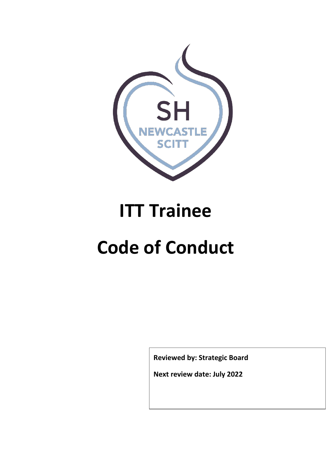

# **ITT Trainee**

# **Code of Conduct**

**Reviewed by: Strategic Board**

**Next review date: July 2022**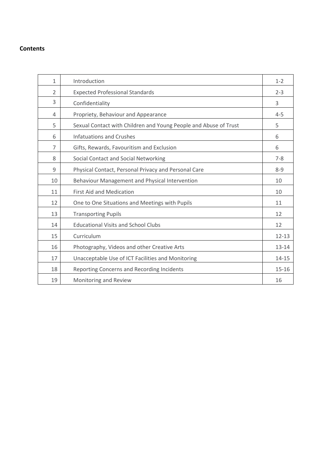# **Contents**

| $\mathbf{1}$   | Introduction                                                     | $1 - 2$   |
|----------------|------------------------------------------------------------------|-----------|
| $\overline{2}$ | <b>Expected Professional Standards</b>                           | $2 - 3$   |
| 3              | Confidentiality                                                  | 3         |
| 4              | Propriety, Behaviour and Appearance                              | $4 - 5$   |
| 5              | Sexual Contact with Children and Young People and Abuse of Trust | 5         |
| 6              | <b>Infatuations and Crushes</b>                                  | 6         |
| 7              | Gifts, Rewards, Favouritism and Exclusion                        | 6         |
| 8              | Social Contact and Social Networking                             | $7 - 8$   |
| 9              | Physical Contact, Personal Privacy and Personal Care             | $8 - 9$   |
| 10             | Behaviour Management and Physical Intervention                   | 10        |
| 11             | <b>First Aid and Medication</b>                                  | 10        |
| 12             | One to One Situations and Meetings with Pupils                   | 11        |
| 13             | <b>Transporting Pupils</b>                                       | 12        |
| 14             | <b>Educational Visits and School Clubs</b>                       | 12        |
| 15             | Curriculum                                                       | $12 - 13$ |
| 16             | Photography, Videos and other Creative Arts                      | $13 - 14$ |
| 17             | Unacceptable Use of ICT Facilities and Monitoring                | 14-15     |
| 18             | Reporting Concerns and Recording Incidents                       | $15 - 16$ |
| 19             | Monitoring and Review                                            | 16        |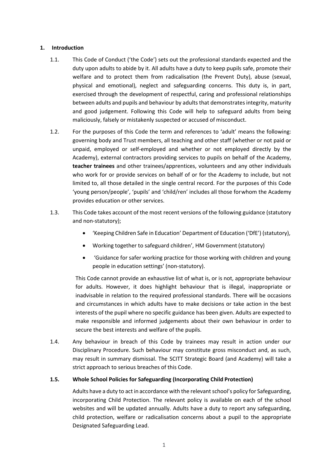#### **1. Introduction**

- 1.1. This Code of Conduct ('the Code') sets out the professional standards expected and the duty upon adults to abide by it. All adults have a duty to keep pupils safe, promote their welfare and to protect them from radicalisation (the Prevent Duty), abuse (sexual, physical and emotional), neglect and safeguarding concerns. This duty is, in part, exercised through the development of respectful, caring and professional relationships between adults and pupils and behaviour by adultsthat demonstratesintegrity, maturity and good judgement. Following this Code will help to safeguard adults from being maliciously, falsely or mistakenly suspected or accused of misconduct.
- 1.2. For the purposes of this Code the term and references to 'adult' means the following: governing body and Trust members, all teaching and other staff (whether or not paid or unpaid, employed or self-employed and whether or not employed directly by the Academy), external contractors providing services to pupils on behalf of the Academy, **teacher trainees** and other trainees/apprentices, volunteers and any other individuals who work for or provide services on behalf of or for the Academy to include, but not limited to, all those detailed in the single central record. For the purposes of this Code 'young person/people', 'pupils' and 'child/ren' includes all those forwhom the Academy provides education or other services.
- 1.3. This Code takes account of the most recent versions of the following guidance (statutory and non-statutory);
	- 'Keeping Children Safe in Education' Department of Education ('DfE') (statutory),
	- Working together to safeguard children', HM Government (statutory)
	- 'Guidance for safer working practice for those working with children and young people in education settings' (non-statutory).

This Code cannot provide an exhaustive list of what is, or is not, appropriate behaviour for adults. However, it does highlight behaviour that is illegal, inappropriate or inadvisable in relation to the required professional standards. There will be occasions and circumstances in which adults have to make decisions or take action in the best interests of the pupil where no specific guidance has been given. Adults are expected to make responsible and informed judgements about their own behaviour in order to secure the best interests and welfare of the pupils.

1.4. Any behaviour in breach of this Code by trainees may result in action under our Disciplinary Procedure. Such behaviour may constitute gross misconduct and, as such, may result in summary dismissal. The SCITT Strategic Board (and Academy) will take a strict approach to serious breaches of this Code.

#### **1.5. Whole School Policies for Safeguarding (Incorporating Child Protection)**

Adults have a duty to act in accordance with the relevant school's policy for Safeguarding, incorporating Child Protection. The relevant policy is available on each of the school websites and will be updated annually. Adults have a duty to report any safeguarding, child protection, welfare or radicalisation concerns about a pupil to the appropriate Designated Safeguarding Lead.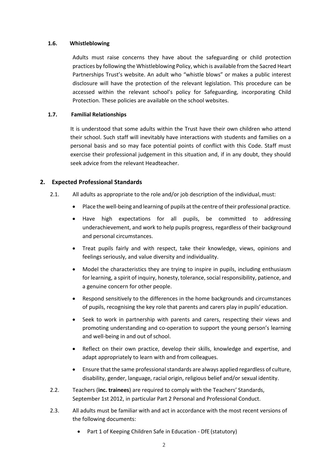#### **1.6. Whistleblowing**

Adults must raise concerns they have about the safeguarding or child protection practices by following the Whistleblowing Policy, which is available from the Sacred Heart Partnerships Trust's website. An adult who "whistle blows" or makes a public interest disclosure will have the protection of the relevant legislation. This procedure can be accessed within the relevant school's policy for Safeguarding, incorporating Child Protection. These policies are available on the school websites.

#### **1.7. Familial Relationships**

It is understood that some adults within the Trust have their own children who attend their school. Such staff will inevitably have interactions with students and families on a personal basis and so may face potential points of conflict with this Code. Staff must exercise their professional judgement in this situation and, if in any doubt, they should seek advice from the relevant Headteacher.

# **2. Expected Professional Standards**

- 2.1. All adults as appropriate to the role and/or job description of the individual, must:
	- Place the well-being and learning of pupils atthe centre oftheir professional practice.
	- Have high expectations for all pupils, be committed to addressing underachievement, and work to help pupils progress, regardless of their background and personal circumstances.
	- Treat pupils fairly and with respect, take their knowledge, views, opinions and feelings seriously, and value diversity and individuality.
	- Model the characteristics they are trying to inspire in pupils, including enthusiasm for learning, a spirit of inquiry, honesty, tolerance, social responsibility, patience, and a genuine concern for other people.
	- Respond sensitively to the differences in the home backgrounds and circumstances of pupils, recognising the key role that parents and carers play in pupils'education.
	- Seek to work in partnership with parents and carers, respecting their views and promoting understanding and co-operation to support the young person's learning and well-being in and out of school.
	- Reflect on their own practice, develop their skills, knowledge and expertise, and adapt appropriately to learn with and from colleagues.
	- Ensure that the same professional standards are always applied regardless of culture, disability, gender, language, racial origin, religious belief and/or sexual identity.
- 2.2. Teachers (**inc. trainees**) are required to comply with the [Teachers' Standards,](https://www.gov.uk/government/uploads/system/uploads/attachment_data/file/301107/Teachers__Standards.pdf)  [September 1st 2012,](https://www.gov.uk/government/uploads/system/uploads/attachment_data/file/301107/Teachers__Standards.pdf) in particular Part 2 Personal and Professional Conduct.
- 2.3. All adults must be familiar with and act in accordance with the most recent versions of the following documents:
	- Part 1 of Keeping Children Safe in Education DfE (statutory)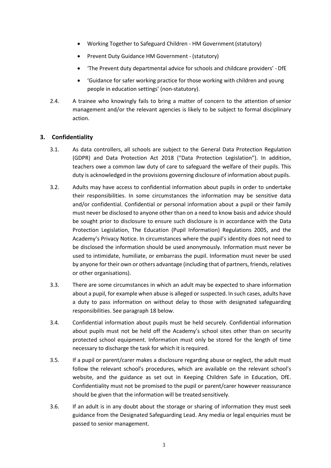- Working Together to Safeguard Children HM Government (statutory)
- Prevent Duty Guidance HM Government (statutory)
- 'The Prevent duty departmental advice for schools and childcare providers' -DfE
- 'Guidance for safer working practice for those working with children and young people in education settings' (non-statutory).
- 2.4. A trainee who knowingly fails to bring a matter of concern to the attention ofsenior management and/or the relevant agencies is likely to be subject to formal disciplinary action.

# **3. Confidentiality**

- 3.1. As data controllers, all schools are subject to the General Data Protection Regulation (GDPR) and Data Protection Act 2018 ("Data Protection Legislation"). In addition, teachers owe a common law duty of care to safeguard the welfare of their pupils. This duty is acknowledged in the provisions governing disclosure of information about pupils.
- 3.2. Adults may have access to confidential information about pupils in order to undertake their responsibilities. In some circumstances the information may be sensitive data and/or confidential. Confidential or personal information about a pupil or their family must never be disclosed to anyone other than on a need to know basis and advice should be sought prior to disclosure to ensure such disclosure is in accordance with the Data Protection Legislation, The Education (Pupil Information) Regulations 2005, and the Academy's Privacy Notice. In circumstances where the pupil's identity does not need to be disclosed the information should be used anonymously. Information must never be used to intimidate, humiliate, or embarrass the pupil. Information must never be used by anyone for their own or others advantage (including that of partners, friends, relatives or other organisations).
- 3.3. There are some circumstances in which an adult may be expected to share information about a pupil, for example when abuse is alleged or suspected. In such cases, adults have a duty to pass information on without delay to those with designated safeguarding responsibilities. See paragraph 18 below.
- 3.4. Confidential information about pupils must be held securely. Confidential information about pupils must not be held off the Academy's school sites other than on security protected school equipment. Information must only be stored for the length of time necessary to discharge the task for which it is required.
- 3.5. If a pupil or parent/carer makes a disclosure regarding abuse or neglect, the adult must follow the relevant school's procedures, which are available on the relevant school's website, and the guidance as set out in Keeping Children Safe in Education, DfE. Confidentiality must not be promised to the pupil or parent/carer however reassurance should be given that the information will be treated sensitively.
- 3.6. If an adult is in any doubt about the storage or sharing of information they must seek guidance from the Designated Safeguarding Lead. Any media or legal enquiries must be passed to senior management.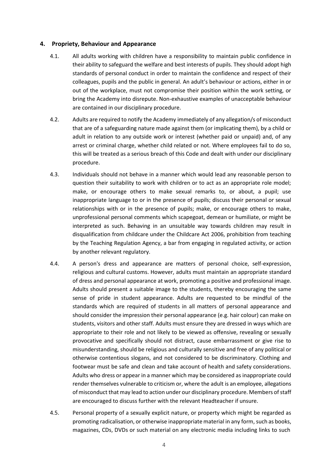#### **4. Propriety, Behaviour and Appearance**

- 4.1. All adults working with children have a responsibility to maintain public confidence in their ability to safeguard the welfare and best interests of pupils. They should adopt high standards of personal conduct in order to maintain the confidence and respect of their colleagues, pupils and the public in general. An adult's behaviour or actions, either in or out of the workplace, must not compromise their position within the work setting, or bring the Academy into disrepute. Non-exhaustive examples of unacceptable behaviour are contained in our disciplinary procedure.
- 4.2. Adults are required to notify the Academy immediately of any allegation/s of misconduct that are of a safeguarding nature made against them (or implicating them), by a child or adult in relation to any outside work or interest (whether paid or unpaid) and, of any arrest or criminal charge, whether child related or not. Where employees fail to do so, this will be treated as a serious breach of this Code and dealt with under our disciplinary procedure.
- 4.3. Individuals should not behave in a manner which would lead any reasonable person to question their suitability to work with children or to act as an appropriate role model; make, or encourage others to make sexual remarks to, or about, a pupil; use inappropriate language to or in the presence of pupils; discuss their personal or sexual relationships with or in the presence of pupils; make, or encourage others to make, unprofessional personal comments which scapegoat, demean or humiliate, or might be interpreted as such. Behaving in an unsuitable way towards children may result in disqualification from childcare under the Childcare Act 2006, prohibition from teaching by the Teaching Regulation Agency, a bar from engaging in regulated activity, or action by another relevant regulatory.
- 4.4. A person's dress and appearance are matters of personal choice, self-expression, religious and cultural customs. However, adults must maintain an appropriate standard of dress and personal appearance at work, promoting a positive and professional image. Adults should present a suitable image to the students, thereby encouraging the same sense of pride in student appearance. Adults are requested to be mindful of the standards which are required of students in all matters of personal appearance and should consider the impression their personal appearance (e.g. hair colour) can make on students, visitors and other staff. Adults must ensure they are dressed in ways which are appropriate to their role and not likely to be viewed as offensive, revealing or sexually provocative and specifically should not distract, cause embarrassment or give rise to misunderstanding, should be religious and culturally sensitive and free of any political or otherwise contentious slogans, and not considered to be discriminatory. Clothing and footwear must be safe and clean and take account of health and safety considerations. Adults who dress or appear in a manner which may be considered as inappropriate could render themselves vulnerable to criticism or, where the adult is an employee, allegations ofmisconduct that may lead to action under our disciplinary procedure. Members ofstaff are encouraged to discuss further with the relevant Headteacher if unsure.
- 4.5. Personal property of a sexually explicit nature, or property which might be regarded as promoting radicalisation, or otherwise inappropriate material in any form, such as books, magazines, CDs, DVDs or such material on any electronic media including links to such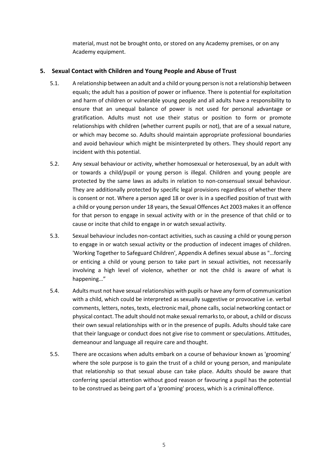material, must not be brought onto, or stored on any Academy premises, or on any Academy equipment.

# **5. Sexual Contact with Children and Young People and Abuse of Trust**

- 5.1. A relationship between an adult and a child or young person is not a relationship between equals; the adult has a position of power or influence. There is potential for exploitation and harm of children or vulnerable young people and all adults have a responsibility to ensure that an unequal balance of power is not used for personal advantage or gratification. Adults must not use their status or position to form or promote relationships with children (whether current pupils or not), that are of a sexual nature, or which may become so. Adults should maintain appropriate professional boundaries and avoid behaviour which might be misinterpreted by others. They should report any incident with this potential.
- 5.2. Any sexual behaviour or activity, whether homosexual or heterosexual, by an adult with or towards a child/pupil or young person is illegal. Children and young people are protected by the same laws as adults in relation to non-consensual sexual behaviour. They are additionally protected by specific legal provisions regardless of whether there is consent or not. Where a person aged 18 or over is in a specified position of trust with a child or young person under 18 years, the Sexual Offences Act 2003 makes it an offence for that person to engage in sexual activity with or in the presence of that child or to cause or incite that child to engage in or watch sexual activity.
- 5.3. Sexual behaviour includes non-contact activities, such as causing a child or young person to engage in or watch sexual activity or the production of indecent images of children. 'Working Together to Safeguard Children', Appendix A defines sexual abuse as "…forcing or enticing a child or young person to take part in sexual activities, not necessarily involving a high level of violence, whether or not the child is aware of what is happening…"
- 5.4. Adults must not have sexual relationships with pupils or have any form of communication with a child, which could be interpreted as sexually suggestive or provocative i.e. verbal comments, letters, notes, texts, electronic mail, phone calls, social networking contact or physical contact. The adult should not make sexual remarks to, or about, a child or discuss their own sexual relationships with or in the presence of pupils. Adults should take care that their language or conduct does not give rise to comment or speculations. Attitudes, demeanour and language all require care and thought.
- 5.5. There are occasions when adults embark on a course of behaviour known as 'grooming' where the sole purpose is to gain the trust of a child or young person, and manipulate that relationship so that sexual abuse can take place. Adults should be aware that conferring special attention without good reason or favouring a pupil has the potential to be construed as being part of a 'grooming' process, which is a criminal offence.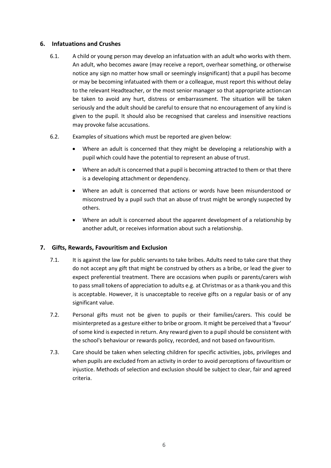# **6. Infatuations and Crushes**

- 6.1. A child or young person may develop an infatuation with an adult who works with them. An adult, who becomes aware (may receive a report, overhear something, or otherwise notice any sign no matter how small or seemingly insignificant) that a pupil has become or may be becoming infatuated with them or a colleague, must report this without delay to the relevant Headteacher, or the most senior manager so that appropriate actioncan be taken to avoid any hurt, distress or embarrassment. The situation will be taken seriously and the adult should be careful to ensure that no encouragement of any kind is given to the pupil. It should also be recognised that careless and insensitive reactions may provoke false accusations.
- 6.2. Examples of situations which must be reported are given below:
	- Where an adult is concerned that they might be developing a relationship with a pupil which could have the potential to represent an abuse of trust.
	- Where an adult is concerned that a pupil is becoming attracted to them or that there is a developing attachment or dependency.
	- Where an adult is concerned that actions or words have been misunderstood or misconstrued by a pupil such that an abuse of trust might be wrongly suspected by others.
	- Where an adult is concerned about the apparent development of a relationship by another adult, or receives information about such a relationship.

# **7. Gifts, Rewards, Favouritism and Exclusion**

- 7.1. It is against the law for public servants to take bribes. Adults need to take care that they do not accept any gift that might be construed by others as a bribe, or lead the giver to expect preferential treatment. There are occasions when pupils or parents/carers wish to pass small tokens of appreciation to adults e.g. at Christmas or as a thank-you and this is acceptable. However, it is unacceptable to receive gifts on a regular basis or of any significant value.
- 7.2. Personal gifts must not be given to pupils or their families/carers. This could be misinterpreted as a gesture either to bribe or groom. It might be perceived that a 'favour' of some kind is expected in return. Any reward given to a pupil should be consistent with the school's behaviour or rewards policy, recorded, and not based on favouritism.
- 7.3. Care should be taken when selecting children for specific activities, jobs, privileges and when pupils are excluded from an activity in order to avoid perceptions of favouritism or injustice. Methods of selection and exclusion should be subject to clear, fair and agreed criteria.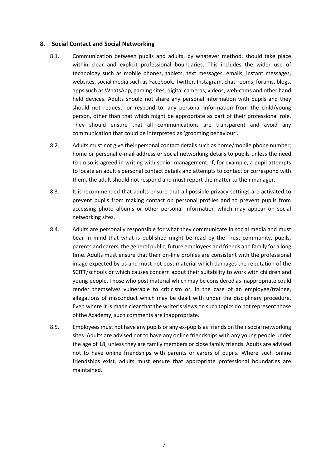#### **8. Social Contact and Social Networking**

- 8.1. Communication between pupils and adults, by whatever method, should take place within clear and explicit professional boundaries. This includes the wider use of technology such as mobile phones, tablets, text messages, emails, instant messages, websites, social media such as Facebook, Twitter, Instagram, chat-rooms, forums, blogs, apps such as WhatsApp, gaming sites, digital cameras, videos, web-cams and other hand held devices. Adults should not share any personal information with pupils and they should not request, or respond to, any personal information from the child/young person, other than that which might be appropriate as part of their professional role. They should ensure that all communications are transparent and avoid any communication that could be interpreted as 'grooming behaviour'.
- 8.2. Adults must not give their personal contact details such as home/mobile phone number; home or personal e-mail address or social networking details to pupils unless the need to do so is agreed in writing with senior management. If, for example, a pupil attempts to locate an adult's personal contact details and attempts to contact or correspond with them, the adult should not respond and must report the matter to their manager.
- 8.3. It is recommended that adults ensure that all possible privacy settings are activated to prevent pupils from making contact on personal profiles and to prevent pupils from accessing photo albums or other personal information which may appear on social networking sites.
- 8.4. Adults are personally responsible for what they communicate in social media and must bear in mind that what is published might be read by the Trust community, pupils, parents and carers, the general public, future employees and friends and family for a long time. Adults must ensure that their on-line profiles are consistent with the professional image expected by us and must not post material which damages the reputation of the SCITT/schools or which causes concern about their suitability to work with children and young people. Those who post material which may be considered as inappropriate could render themselves vulnerable to criticism or, in the case of an employee/trainee, allegations of misconduct which may be dealt with under the disciplinary procedure. Even where it is made clear that the writer's views on such topics do not represent those of the Academy, such comments are inappropriate.
- 8.5. Employees must not have any pupils or any ex-pupils as friends on their social networking sites. Adults are advised not to have any online friendships with any young people under the age of 18, unless they are family members or close family friends. Adults are advised not to have online friendships with parents or carers of pupils. Where such online friendships exist, adults must ensure that appropriate professional boundaries are maintained.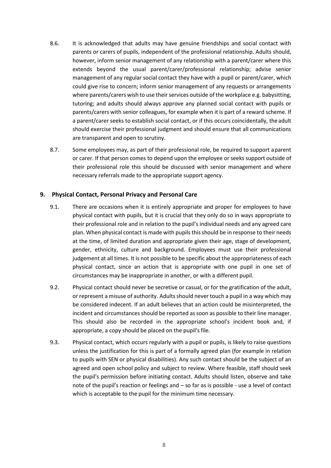- 8.6. It is acknowledged that adults may have genuine friendships and social contact with parents or carers of pupils, independent of the professional relationship. Adults should, however, inform senior management of any relationship with a parent/carer where this extends beyond the usual parent/carer/professional relationship; advise senior management of any regular social contact they have with a pupil or parent/carer, which could give rise to concern; inform senior management of any requests or arrangements where parents/carers wish to use their services outside of the workplace e.g. babysitting, tutoring; and adults should always approve any planned social contact with pupils or parents/carers with senior colleagues, for example when it is part of a reward scheme. If a parent/carer seeks to establish social contact, or if this occurs coincidentally, the adult should exercise their professional judgment and should ensure that all communications are transparent and open to scrutiny.
- 8.7. Some employees may, as part of their professional role, be required to support aparent or carer. If that person comes to depend upon the employee or seeks support outside of their professional role this should be discussed with senior management and where necessary referrals made to the appropriate support agency.

# **9. Physical Contact, Personal Privacy and Personal Care**

- 9.1. There are occasions when it is entirely appropriate and proper for employees to have physical contact with pupils, but it is crucial that they only do so in ways appropriate to their professional role and in relation to the pupil's individual needs and any agreed care plan. When physical contact is made with pupilsthisshould be in response to their needs at the time, of limited duration and appropriate given their age, stage of development, gender, ethnicity, culture and background. Employees must use their professional judgement at all times. It is not possible to be specific about the appropriateness of each physical contact, since an action that is appropriate with one pupil in one set of circumstances may be inappropriate in another, or with a different pupil.
- 9.2. Physical contact should never be secretive or casual, or for the gratification of the adult, or represent a misuse of authority. Adults should never touch a pupil in a way which may be considered indecent. If an adult believes that an action could be misinterpreted, the incident and circumstances should be reported as soon as possible to their line manager. This should also be recorded in the appropriate school's incident book and, if appropriate, a copy should be placed on the pupil's file.
- 9.3. Physical contact, which occurs regularly with a pupil or pupils, is likely to raise questions unless the justification for this is part of a formally agreed plan (for example in relation to pupils with SEN or physical disabilities). Any such contact should be the subject of an agreed and open school policy and subject to review. Where feasible, staff should seek the pupil's permission before initiating contact. Adults should listen, observe and take note of the pupil's reaction or feelings and – so far as is possible - use a level of contact which is acceptable to the pupil for the minimum time necessary.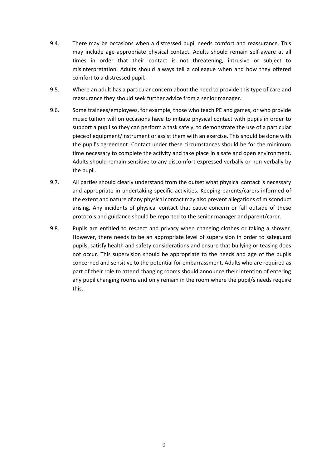- 9.4. There may be occasions when a distressed pupil needs comfort and reassurance. This may include age-appropriate physical contact. Adults should remain self-aware at all times in order that their contact is not threatening, intrusive or subject to misinterpretation. Adults should always tell a colleague when and how they offered comfort to a distressed pupil.
- 9.5. Where an adult has a particular concern about the need to provide this type of care and reassurance they should seek further advice from a senior manager.
- 9.6. Some trainees/employees, for example, those who teach PE and games, or who provide music tuition will on occasions have to initiate physical contact with pupils in order to support a pupil so they can perform a task safely, to demonstrate the use of a particular pieceof equipment/instrument or assist them with an exercise. This should be done with the pupil's agreement. Contact under these circumstances should be for the minimum time necessary to complete the activity and take place in a safe and open environment. Adults should remain sensitive to any discomfort expressed verbally or non-verbally by the pupil.
- 9.7. All parties should clearly understand from the outset what physical contact is necessary and appropriate in undertaking specific activities. Keeping parents/carers informed of the extent and nature of any physical contact may also prevent allegations of misconduct arising. Any incidents of physical contact that cause concern or fall outside of these protocols and guidance should be reported to the senior manager and parent/carer.
- 9.8. Pupils are entitled to respect and privacy when changing clothes or taking a shower. However, there needs to be an appropriate level of supervision in order to safeguard pupils, satisfy health and safety considerations and ensure that bullying or teasing does not occur. This supervision should be appropriate to the needs and age of the pupils concerned and sensitive to the potential for embarrassment. Adults who are required as part of their role to attend changing rooms should announce their intention of entering any pupil changing rooms and only remain in the room where the pupil/s needs require this.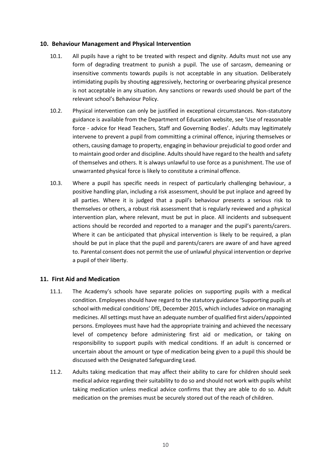#### **10. Behaviour Management and Physical Intervention**

- 10.1. All pupils have a right to be treated with respect and dignity. Adults must not use any form of degrading treatment to punish a pupil. The use of sarcasm, demeaning or insensitive comments towards pupils is not acceptable in any situation. Deliberately intimidating pupils by shouting aggressively, hectoring or overbearing physical presence is not acceptable in any situation. Any sanctions or rewards used should be part of the relevant school's Behaviour Policy.
- 10.2. Physical intervention can only be justified in exceptional circumstances. Non-statutory guidance is available from the Department of Education website, see 'Use of reasonable force - advice for Head Teachers, Staff and Governing Bodies'. Adults may legitimately intervene to prevent a pupil from committing a criminal offence, injuring themselves or others, causing damage to property, engaging in behaviour prejudicial to good order and to maintain good order and discipline. Adults should have regard to the health and safety of themselves and others. It is always unlawful to use force as a punishment. The use of unwarranted physical force is likely to constitute a criminal offence.
- 10.3. Where a pupil has specific needs in respect of particularly challenging behaviour, a positive handling plan, including a risk assessment, should be put inplace and agreed by all parties. Where it is judged that a pupil's behaviour presents a serious risk to themselves or others, a robust risk assessment that is regularly reviewed and a physical intervention plan, where relevant, must be put in place. All incidents and subsequent actions should be recorded and reported to a manager and the pupil's parents/carers. Where it can be anticipated that physical intervention is likely to be required, a plan should be put in place that the pupil and parents/carers are aware of and have agreed to. Parental consent does not permit the use of unlawful physical intervention or deprive a pupil of their liberty.

# **11. First Aid and Medication**

- 11.1. The Academy's schools have separate policies on supporting pupils with a medical condition. Employees should have regard to the statutory guidance 'Supporting pupils at school with medical conditions' DfE, December 2015, which includes advice on managing medicines. Allsettings must have an adequate number of qualified first aiders/appointed persons. Employees must have had the appropriate training and achieved the necessary level of competency before administering first aid or medication, or taking on responsibility to support pupils with medical conditions. If an adult is concerned or uncertain about the amount or type of medication being given to a pupil this should be discussed with the Designated Safeguarding Lead.
- 11.2. Adults taking medication that may affect their ability to care for children should seek medical advice regarding their suitability to do so and should not work with pupils whilst taking medication unless medical advice confirms that they are able to do so. Adult medication on the premises must be securely stored out of the reach of children.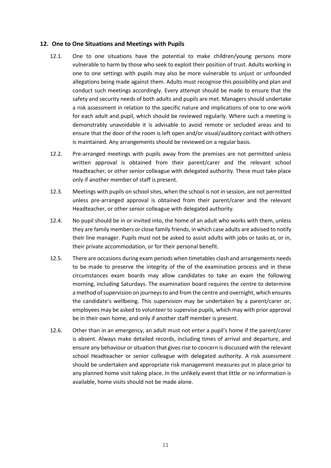#### **12. One to One Situations and Meetings with Pupils**

- 12.1. One to one situations have the potential to make children/young persons more vulnerable to harm by those who seek to exploit their position of trust. Adults working in one to one settings with pupils may also be more vulnerable to unjust or unfounded allegations being made against them. Adults must recognise this possibility and plan and conduct such meetings accordingly. Every attempt should be made to ensure that the safety and security needs of both adults and pupils are met. Managers should undertake a risk assessment in relation to the specific nature and implications of one to one work for each adult and pupil, which should be reviewed regularly. Where such a meeting is demonstrably unavoidable it is advisable to avoid remote or secluded areas and to ensure that the door of the room is left open and/or visual/auditory contact with others is maintained. Any arrangements should be reviewed on a regular basis.
- 12.2. Pre-arranged meetings with pupils away from the premises are not permitted unless written approval is obtained from their parent/carer and the relevant school Headteacher, or other senior colleague with delegated authority. These must take place only if another member of staff is present.
- 12.3. Meetings with pupils on school sites, when the school is not in session, are not permitted unless pre-arranged approval is obtained from their parent/carer and the relevant Headteacher, or other senior colleague with delegated authority.
- 12.4. No pupil should be in or invited into, the home of an adult who works with them, unless they are family members or close family friends, in which case adults are advised to notify their line manager. Pupils must not be asked to assist adults with jobs or tasks at, or in, their private accommodation, or for their personal benefit.
- 12.5. There are occasions during exam periods when timetables clash and arrangements needs to be made to preserve the integrity of the of the examination process and in these circumstances exam boards may allow candidates to take an exam the following morning, including Saturdays. The examination board requires the centre to determine a method of supervision on journeys to and from the centre and overnight, which ensures the candidate's wellbeing. This supervision may be undertaken by a parent/carer or, employees may be asked to volunteer to supervise pupils, which may with prior approval be in their own home, and only if another staff member is present.
- 12.6. Other than in an emergency, an adult must not enter a pupil's home if the parent/carer is absent. Always make detailed records, including times of arrival and departure, and ensure any behaviour or situation that gives rise to concern is discussed with the relevant school Headteacher or senior colleague with delegated authority. A risk assessment should be undertaken and appropriate risk management measures put in place prior to any planned home visit taking place. In the unlikely event that little or no information is available, home visits should not be made alone.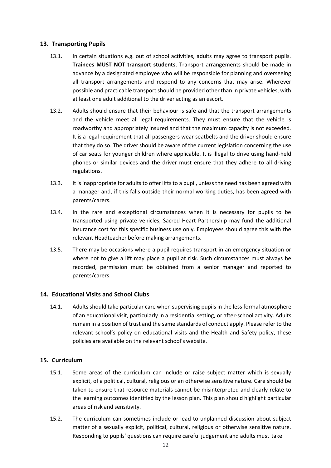# **13. Transporting Pupils**

- 13.1. In certain situations e.g. out of school activities, adults may agree to transport pupils. **Trainees MUST NOT transport students**. Transport arrangements should be made in advance by a designated employee who will be responsible for planning and overseeing all transport arrangements and respond to any concerns that may arise. Wherever possible and practicable transport should be provided other than in private vehicles, with at least one adult additional to the driver acting as an escort.
- 13.2. Adults should ensure that their behaviour is safe and that the transport arrangements and the vehicle meet all legal requirements. They must ensure that the vehicle is roadworthy and appropriately insured and that the maximum capacity is not exceeded. It is a legal requirement that all passengers wear seatbelts and the driver should ensure that they do so. The driver should be aware of the current legislation concerning the use of car seats for younger children where applicable. It is illegal to drive using hand-held phones or similar devices and the driver must ensure that they adhere to all driving regulations.
- 13.3. It is inappropriate for adults to offer lifts to a pupil, unless the need has been agreed with a manager and, if this falls outside their normal working duties, has been agreed with parents/carers.
- 13.4. In the rare and exceptional circumstances when it is necessary for pupils to be transported using private vehicles, Sacred Heart Partnership may fund the additional insurance cost for this specific business use only. Employees should agree this with the relevant Headteacher before making arrangements.
- 13.5. There may be occasions where a pupil requires transport in an emergency situation or where not to give a lift may place a pupil at risk. Such circumstances must always be recorded, permission must be obtained from a senior manager and reported to parents/carers.

# **14. Educational Visits and School Clubs**

14.1. Adults should take particular care when supervising pupils in the less formal atmosphere of an educational visit, particularly in a residential setting, or after-school activity. Adults remain in a position of trust and the same standards of conduct apply. Please referto the relevant school's policy on educational visits and the Health and Safety policy, these policies are available on the relevant school's website.

# **15. Curriculum**

- 15.1. Some areas of the curriculum can include or raise subject matter which is sexually explicit, of a political, cultural, religious or an otherwise sensitive nature. Care should be taken to ensure that resource materials cannot be misinterpreted and clearly relate to the learning outcomes identified by the lesson plan. This plan should highlight particular areas of risk and sensitivity.
- 15.2. The curriculum can sometimes include or lead to unplanned discussion about subject matter of a sexually explicit, political, cultural, religious or otherwise sensitive nature. Responding to pupils' questions can require careful judgement and adults must take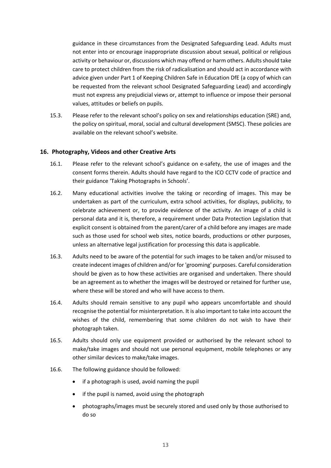guidance in these circumstances from the Designated Safeguarding Lead. Adults must not enter into or encourage inappropriate discussion about sexual, political or religious activity or behaviour or, discussions which may offend or harm others. Adults should take care to protect children from the risk of radicalisation and should act in accordance with advice given under Part 1 of Keeping Children Safe in Education DfE (a copy of which can be requested from the relevant school Designated Safeguarding Lead) and accordingly must not express any prejudicial views or, attempt to influence or impose their personal values, attitudes or beliefs on pupils.

15.3. Please refer to the relevant school's policy on sex and relationships education (SRE) and, the policy on spiritual, moral, social and cultural development (SMSC). These policies are available on the relevant school's website.

#### **16. Photography, Videos and other Creative Arts**

- 16.1. Please refer to the relevant school's guidance on e-safety, the use of images and the consent forms therein. Adults should have regard to the ICO CCTV code of practice and their guidance 'Taking Photographs in Schools'.
- 16.2. Many educational activities involve the taking or recording of images. This may be undertaken as part of the curriculum, extra school activities, for displays, publicity, to celebrate achievement or, to provide evidence of the activity. An image of a child is personal data and it is, therefore, a requirement under Data Protection Legislation that explicit consent is obtained from the parent/carer of a child before any images are made such as those used for school web sites, notice boards, productions or other purposes, unless an alternative legal justification for processing this data is applicable.
- 16.3. Adults need to be aware of the potential for such images to be taken and/or misused to create indecent images of children and/or for 'grooming' purposes. Careful consideration should be given as to how these activities are organised and undertaken. There should be an agreement as to whether the images will be destroyed or retained for further use, where these will be stored and who will have access to them.
- 16.4. Adults should remain sensitive to any pupil who appears uncomfortable and should recognise the potential for misinterpretation. It is also important to take into account the wishes of the child, remembering that some children do not wish to have their photograph taken.
- 16.5. Adults should only use equipment provided or authorised by the relevant school to make/take images and should not use personal equipment, mobile telephones or any other similar devices to make/take images.
- 16.6. The following guidance should be followed:
	- if a photograph is used, avoid naming the pupil
	- if the pupil is named, avoid using the photograph
	- photographs/images must be securely stored and used only by those authorised to do so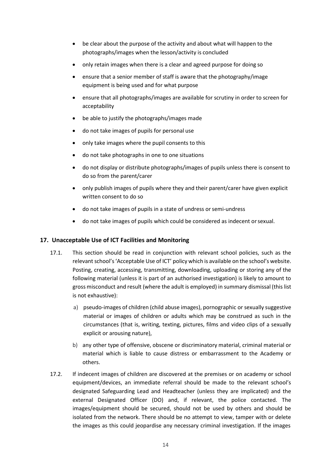- be clear about the purpose of the activity and about what will happen to the photographs/images when the lesson/activity is concluded
- only retain images when there is a clear and agreed purpose for doing so
- ensure that a senior member of staff is aware that the photography/image equipment is being used and for what purpose
- ensure that all photographs/images are available for scrutiny in order to screen for acceptability
- be able to justify the photographs/images made
- do not take images of pupils for personal use
- only take images where the pupil consents to this
- do not take photographs in one to one situations
- do not display or distribute photographs/images of pupils unless there is consent to do so from the parent/carer
- only publish images of pupils where they and their parent/carer have given explicit written consent to do so
- do not take images of pupils in a state of undress or semi-undress
- do not take images of pupils which could be considered as indecent orsexual.

# **17. Unacceptable Use of ICT Facilities and Monitoring**

- 17.1. This section should be read in conjunction with relevant school policies, such as the relevant school's'Acceptable Use of ICT' policy which is available on the school's website. Posting, creating, accessing, transmitting, downloading, uploading or storing any of the following material (unless it is part of an authorised investigation) is likely to amount to gross misconduct and result (where the adult is employed) in summary dismissal (this list is not exhaustive):
	- a) pseudo-images of children (child abuse images), pornographic or sexually suggestive material or images of children or adults which may be construed as such in the circumstances (that is, writing, texting, pictures, films and video clips of a sexually explicit or arousing nature),
	- b) any other type of offensive, obscene or discriminatory material, criminal material or material which is liable to cause distress or embarrassment to the Academy or others.
- 17.2. If indecent images of children are discovered at the premises or on academy or school equipment/devices, an immediate referral should be made to the relevant school's designated Safeguarding Lead and Headteacher (unless they are implicated) and the external Designated Officer (DO) and, if relevant, the police contacted. The images/equipment should be secured, should not be used by others and should be isolated from the network. There should be no attempt to view, tamper with or delete the images as this could jeopardise any necessary criminal investigation. If the images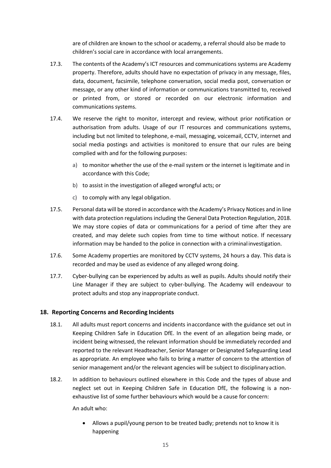are of children are known to the school or academy, a referral should also be made to children's social care in accordance with local arrangements.

- 17.3. The contents of the Academy's ICT resources and communications systems are Academy property. Therefore, adults should have no expectation of privacy in any message, files, data, document, facsimile, telephone conversation, social media post, conversation or message, or any other kind of information or communications transmitted to, received or printed from, or stored or recorded on our electronic information and communications systems.
- 17.4. We reserve the right to monitor, intercept and review, without prior notification or authorisation from adults. Usage of our IT resources and communications systems, including but not limited to telephone, e-mail, messaging, voicemail, CCTV, internet and social media postings and activities is monitored to ensure that our rules are being complied with and for the following purposes:
	- a) to monitor whether the use of the e-mail system or the internet is legitimate and in accordance with this Code;
	- b) to assist in the investigation of alleged wrongful acts; or
	- c) to comply with any legal obligation.
- 17.5. Personal data will be stored in accordance with the Academy's Privacy Notices and in line with data protection regulations including the General Data Protection Regulation, 2018. We may store copies of data or communications for a period of time after they are created, and may delete such copies from time to time without notice. If necessary information may be handed to the police in connection with a criminal investigation.
- 17.6. Some Academy properties are monitored by CCTV systems, 24 hours a day. This data is recorded and may be used as evidence of any alleged wrong doing.
- 17.7. Cyber-bullying can be experienced by adults as well as pupils. Adults should notify their Line Manager if they are subject to cyber-bullying. The Academy will endeavour to protect adults and stop any inappropriate conduct.

# **18. Reporting Concerns and Recording Incidents**

- 18.1. All adults must report concerns and incidents inaccordance with the guidance set out in Keeping Children Safe in Education DfE. In the event of an allegation being made, or incident being witnessed, the relevant information should be immediately recorded and reported to the relevant Headteacher, Senior Manager or Designated Safeguarding Lead as appropriate. An employee who fails to bring a matter of concern to the attention of senior management and/or the relevant agencies will be subject to disciplinary action.
- 18.2. In addition to behaviours outlined elsewhere in this Code and the types of abuse and neglect set out in Keeping Children Safe in Education DfE, the following is a nonexhaustive list of some further behaviours which would be a cause for concern:

An adult who:

• Allows a pupil/young person to be treated badly; pretends not to know it is happening